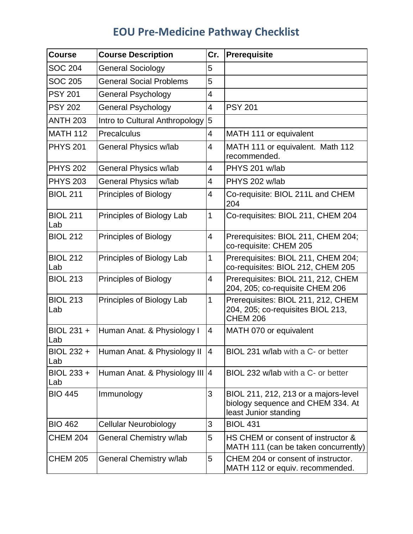## **EOU Pre-Medicine Pathway Checklist**

| <b>Course</b>          | <b>Course Description</b>                    | Cr.            | Prerequisite                                                                                       |
|------------------------|----------------------------------------------|----------------|----------------------------------------------------------------------------------------------------|
| <b>SOC 204</b>         | <b>General Sociology</b>                     | 5              |                                                                                                    |
| <b>SOC 205</b>         | <b>General Social Problems</b>               | 5              |                                                                                                    |
| <b>PSY 201</b>         | <b>General Psychology</b>                    | 4              |                                                                                                    |
| <b>PSY 202</b>         | <b>General Psychology</b>                    | 4              | <b>PSY 201</b>                                                                                     |
| <b>ANTH 203</b>        | Intro to Cultural Anthropology               | $\overline{5}$ |                                                                                                    |
| <b>MATH 112</b>        | Precalculus                                  | 4              | MATH 111 or equivalent                                                                             |
| <b>PHYS 201</b>        | General Physics w/lab                        | 4              | MATH 111 or equivalent. Math 112<br>recommended.                                                   |
| <b>PHYS 202</b>        | General Physics w/lab                        | 4              | PHYS 201 w/lab                                                                                     |
| <b>PHYS 203</b>        | General Physics w/lab                        | 4              | PHYS 202 w/lab                                                                                     |
| <b>BIOL 211</b>        | Principles of Biology                        | 4              | Co-requisite: BIOL 211L and CHEM<br>204                                                            |
| <b>BIOL 211</b><br>Lab | Principles of Biology Lab                    | 1              | Co-requisites: BIOL 211, CHEM 204                                                                  |
| <b>BIOL 212</b>        | Principles of Biology                        | 4              | Prerequisites: BIOL 211, CHEM 204;<br>co-requisite: CHEM 205                                       |
| <b>BIOL 212</b><br>Lab | Principles of Biology Lab                    | 1              | Prerequisites: BIOL 211, CHEM 204;<br>co-requisites: BIOL 212, CHEM 205                            |
| <b>BIOL 213</b>        | Principles of Biology                        | $\overline{4}$ | Prerequisites: BIOL 211, 212, CHEM<br>204, 205; co-requisite CHEM 206                              |
| <b>BIOL 213</b><br>Lab | Principles of Biology Lab                    | 1              | Prerequisites: BIOL 211, 212, CHEM<br>204, 205; co-requisites BIOL 213,<br><b>CHEM 206</b>         |
| BIOL 231 +<br>Lab      | Human Anat. & Physiology I                   | 4              | MATH 070 or equivalent                                                                             |
| Lab                    | BIOL 232 + Human Anat. & Physiology II $ 4 $ |                | BIOL 231 w/lab with a C- or better                                                                 |
| BIOL 233 +<br>Lab      | Human Anat. & Physiology III 4               |                | BIOL 232 w/lab with a C- or better                                                                 |
| <b>BIO 445</b>         | Immunology                                   | 3              | BIOL 211, 212, 213 or a majors-level<br>biology sequence and CHEM 334. At<br>least Junior standing |
| <b>BIO 462</b>         | <b>Cellular Neurobiology</b>                 | 3              | <b>BIOL 431</b>                                                                                    |
| <b>CHEM 204</b>        | General Chemistry w/lab                      | 5              | HS CHEM or consent of instructor &<br>MATH 111 (can be taken concurrently)                         |
| <b>CHEM 205</b>        | General Chemistry w/lab                      | 5              | CHEM 204 or consent of instructor.<br>MATH 112 or equiv. recommended.                              |